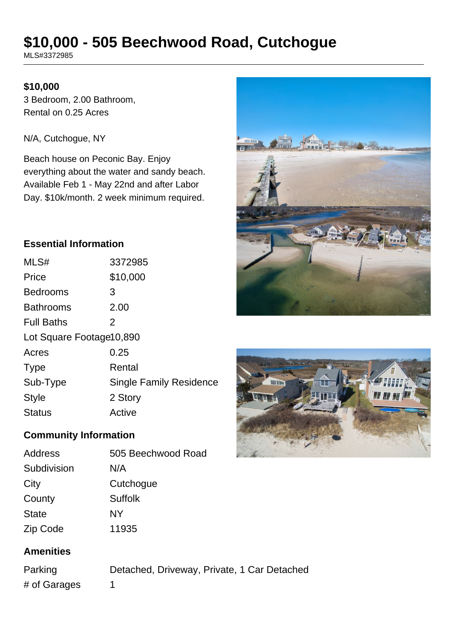# **\$10,000 - 505 Beechwood Road, Cutchogue**

MLS#3372985

### **\$10,000**

3 Bedroom, 2.00 Bathroom, Rental on 0.25 Acres

N/A, Cutchogue, NY

Beach house on Peconic Bay. Enjoy everything about the water and sandy beach. Available Feb 1 - May 22nd and after Labor Day. \$10k/month. 2 week minimum required.

# **Essential Information**

| MLS#                     | 3372985                        |  |
|--------------------------|--------------------------------|--|
| Price                    | \$10,000                       |  |
| <b>Bedrooms</b>          | 3                              |  |
| <b>Bathrooms</b>         | 2.00                           |  |
| <b>Full Baths</b>        | 2                              |  |
| Lot Square Footage10,890 |                                |  |
| Acres                    | 0.25                           |  |
| <b>Type</b>              | Rental                         |  |
| Sub-Type                 | <b>Single Family Residence</b> |  |
| <b>Style</b>             | 2 Story                        |  |
| <b>Status</b>            | Active                         |  |
|                          |                                |  |

# **Community Information**

| 505 Beechwood Road |
|--------------------|
| N/A                |
| Cutchogue          |
| <b>Suffolk</b>     |
| NΥ                 |
| 11935              |
|                    |

# **Amenities**

Parking Detached, Driveway, Private, 1 Car Detached # of Garages 1